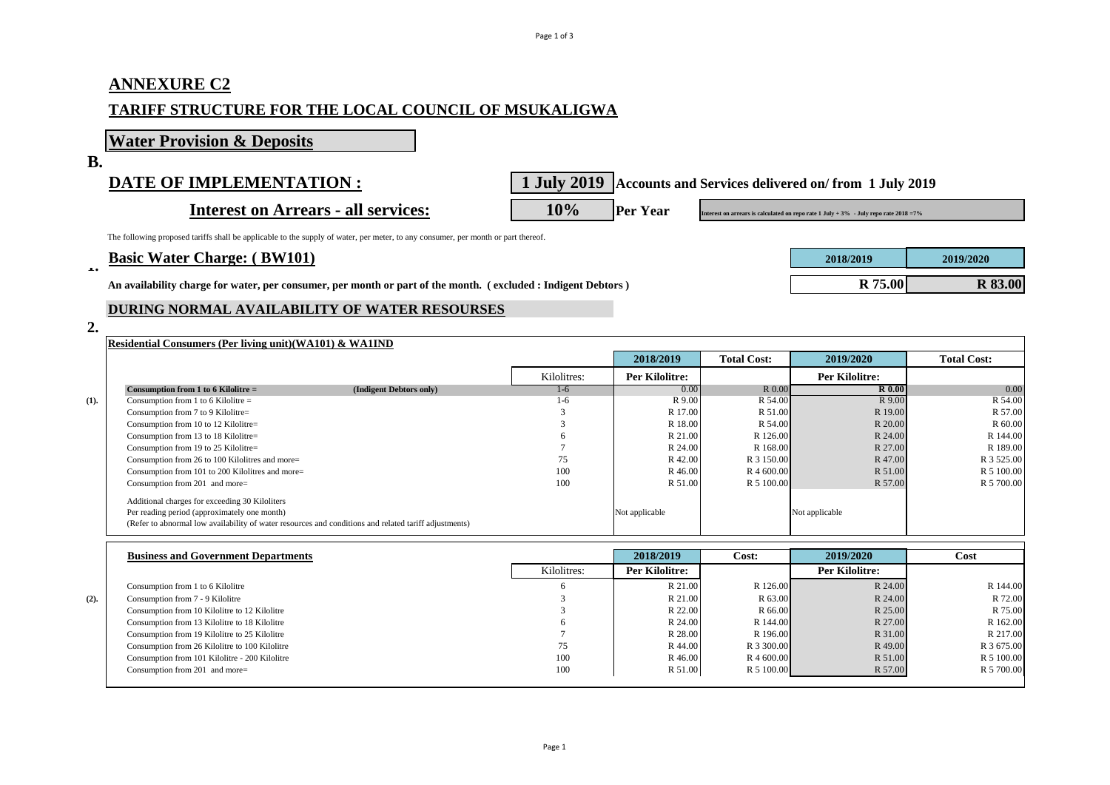# **ANNEXURE C2 TARIFF STRUCTURE FOR THE LOCAL COUNCIL OF MSUKALIGWA**

**Water Provision & Deposits**

**B.**

**DATE OF IMPLEMENTATION : 1 July 2019 Accounts and Services delivered on/ from 1 July 2019** 

**Interest on Arrears - all services: 10%** Per Year **Interest on arrears is calculated on repo rate 1 July + 3%** - July repo rate 2018 =7%

The following proposed tariffs shall be applicable to the supply of water, per meter, to any consumer, per month or part thereof.

# **Basic Water Charge: ( BW101) 2018/2019 2019/2020 1.**

An availability charge for water, per consumer, per month or part of the month. (excluded : Indigent Debtors)

### **DURING NORMAL AVAILABILITY OF WATER RESOURSES**

### **2.**

|      | <b>Residential Consumers (Per living unit)(WA101) &amp; WA1IND</b>                                    |                         |             |                |                    |                |                    |
|------|-------------------------------------------------------------------------------------------------------|-------------------------|-------------|----------------|--------------------|----------------|--------------------|
|      |                                                                                                       |                         |             | 2018/2019      | <b>Total Cost:</b> | 2019/2020      | <b>Total Cost:</b> |
|      |                                                                                                       |                         | Kilolitres: | Per Kilolitre: |                    | Per Kilolitre: |                    |
|      | Consumption from 1 to 6 Kilolitre $=$                                                                 | (Indigent Debtors only) | $1-6$       | 0.00           | R 0.00             | <b>R</b> 0.00  | 0.00               |
| (1). | Consumption from 1 to 6 Kilolitre $=$                                                                 |                         | $1-6$       | R 9.00         | R 54.00            | R 9.00         | R 54.00            |
|      | Consumption from 7 to 9 Kilolitre=                                                                    |                         |             | R 17.00        | R 51.00            | R 19.00        | R 57.00            |
|      | Consumption from 10 to 12 Kilolitre=                                                                  |                         |             | R 18.00        | R 54.00            | R 20.00        | R 60.00            |
|      | Consumption from 13 to 18 Kilolitre=                                                                  |                         |             | R 21.00        | R 126.00           | R 24.00        | R 144.00           |
|      | Consumption from 19 to 25 Kilolitre=                                                                  |                         |             | R 24.00        | R 168.00           | R 27.00        | R 189.00           |
|      | Consumption from 26 to 100 Kilolitres and more=                                                       |                         | 75          | R 42.00        | R 3 150.00         | R 47.00        | R 3 525.00         |
|      | Consumption from 101 to 200 Kilolitres and more=                                                      |                         | 100         | R 46.00        | R 4 600.00         | R 51.00        | R 5 100.00         |
|      | Consumption from 201 and more=                                                                        |                         | 100         | R 51.00        | R 5 100.00         | R 57.00        | R 5 700.00         |
|      | Additional charges for exceeding 30 Kiloliters                                                        |                         |             |                |                    |                |                    |
|      | Per reading period (approximately one month)                                                          |                         |             | Not applicable |                    | Not applicable |                    |
|      | (Refer to abnormal low availability of water resources and conditions and related tariff adjustments) |                         |             |                |                    |                |                    |

|      | <b>Business and Government Departments</b>     |             | 2018/2019      | Cost:      | 2019/2020      | Cost       |
|------|------------------------------------------------|-------------|----------------|------------|----------------|------------|
|      |                                                | Kilolitres: | Per Kilolitre: |            | Per Kilolitre: |            |
|      | Consumption from 1 to 6 Kilolitre              |             | R 21.00        | R 126.00   | R 24.00        | R 144.00   |
| (2). | Consumption from 7 - 9 Kilolitre               |             | R 21.00        | R 63.00    | R 24.00        | R 72.00    |
|      | Consumption from 10 Kilolitre to 12 Kilolitre  |             | R 22.00        | R 66.00    | R 25.00        | R 75.00    |
|      | Consumption from 13 Kilolitre to 18 Kilolitre  |             | R 24.00        | R 144.00   | R 27.00        | R 162.00   |
|      | Consumption from 19 Kilolitre to 25 Kilolitre  |             | R 28.00        | R 196.00   | R 31.00        | R 217.00   |
|      | Consumption from 26 Kilolitre to 100 Kilolitre | 75          | R 44.00        | R 3 300.00 | R 49.00        | R 3 675.00 |
|      | Consumption from 101 Kilolitre - 200 Kilolitre | 100         | R 46.00        | R 4 600.00 | R 51.00        | R 5 100.00 |
|      | Consumption from 201 and more=                 | 100         | R 51.00        | R 5 100.00 | R 57.00        | R 5 700.00 |
|      |                                                |             |                |            |                |            |

| 2018/2019      | 2019/2020      |
|----------------|----------------|
| <b>R</b> 75.00 | <b>R</b> 83.00 |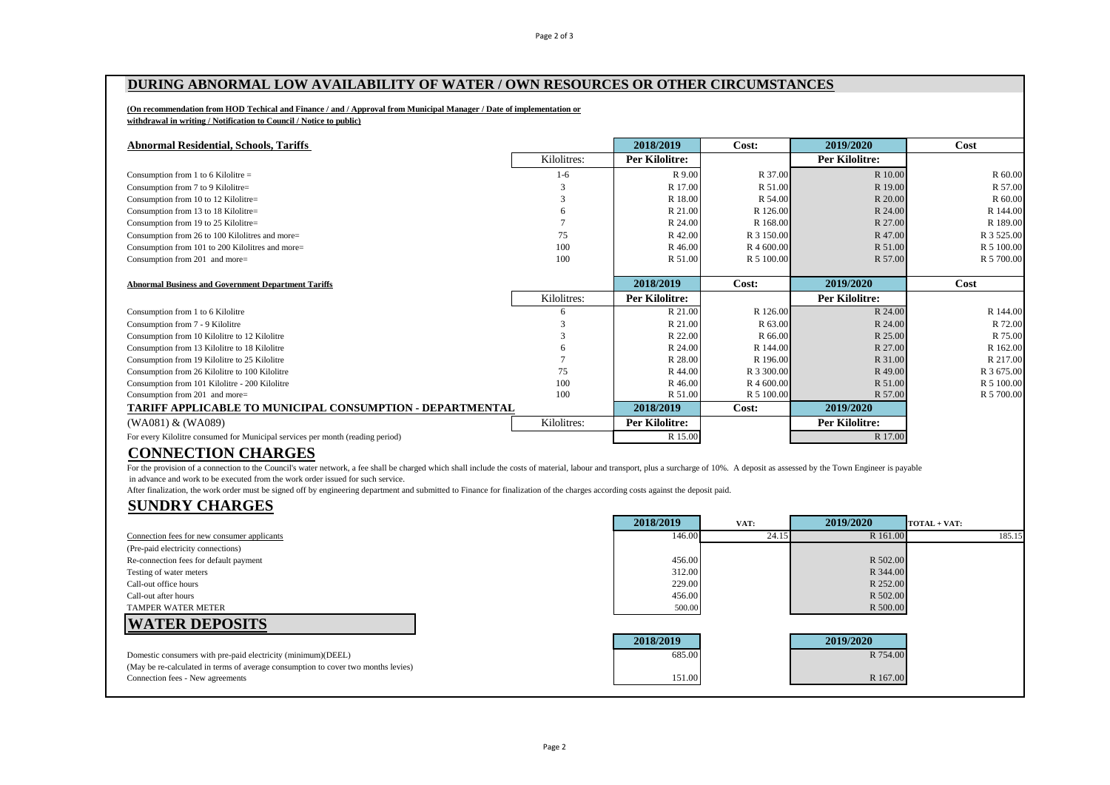Page 2 of 3

### **DURING ABNORMAL LOW AVAILABILITY OF WATER / OWN RESOURCES OR OTHER CIRCUMSTANCES**

#### **(On recommendation from HOD Techical and Finance / and / Approval from Municipal Manager / Date of implementation or withdrawal in writing / Notification to Council / Notice to public)**

| <b>Abnormal Residential, Schools, Tariffs</b>              |             | 2018/2019             | Cost:      | 2019/2020             | Cost       |
|------------------------------------------------------------|-------------|-----------------------|------------|-----------------------|------------|
|                                                            | Kilolitres: | Per Kilolitre:        |            | Per Kilolitre:        |            |
| Consumption from 1 to 6 Kilolitre $=$                      | $1-6$       | R 9.00                | R 37.00    | R 10.00               | R 60.00    |
| Consumption from 7 to 9 Kilolitre=                         | 3           | R 17.00               | R 51.00    | R 19.00               | R 57.00    |
| Consumption from 10 to 12 Kilolitre=                       |             | R 18.00               | R 54.00    | R 20.00               | R 60.00    |
| Consumption from 13 to 18 Kilolitre=                       | 6           | R 21.00               | R 126.00   | R 24.00               | R 144.00   |
| Consumption from 19 to 25 Kilolitre=                       |             | R 24.00               | R 168.00   | R 27.00               | R 189.00   |
| Consumption from 26 to 100 Kilolitres and more=            | 75          | R 42.00               | R 3 150.00 | R 47.00               | R 3 525.00 |
| Consumption from 101 to 200 Kilolitres and more=           | 100         | R 46.00               | R 4 600.00 | R 51.00               | R 5 100.00 |
| Consumption from 201 and more=                             | 100         | R 51.00               | R 5 100.00 | R 57.00               | R 5 700.00 |
|                                                            |             |                       |            |                       |            |
| <b>Abnormal Business and Government Department Tariffs</b> |             | 2018/2019             | Cost:      | 2019/2020             | Cost       |
|                                                            | Kilolitres: | <b>Per Kilolitre:</b> |            | <b>Per Kilolitre:</b> |            |
| Consumption from 1 to 6 Kilolitre                          | 6           | R 21.00               | R 126.00   | R 24.00               | R 144.00   |
| Consumption from 7 - 9 Kilolitre                           |             | R 21.00               | R 63.00    | R 24.00               | R 72.00    |
| Consumption from 10 Kilolitre to 12 Kilolitre              |             | R 22.00               | R 66.00    | R 25.00               | R 75.00    |
| Consumption from 13 Kilolitre to 18 Kilolitre              |             | R 24.00               | R 144.00   | R 27.00               | R 162.00   |
| Consumption from 19 Kilolitre to 25 Kilolitre              |             | R 28.00               | R 196.00   | R 31.00               | R 217.00   |
| Consumption from 26 Kilolitre to 100 Kilolitre             | 75          | R 44.00               | R 3 300.00 | R 49.00               | R 3 675.00 |
| Consumption from 101 Kilolitre - 200 Kilolitre             | 100         | R 46.00               | R 4 600.00 | R 51.00               | R 5 100.00 |
| Consumption from 201 and more=                             | 100         | R 51.00               | R 5 100.00 | R 57.00               | R 5 700.00 |
| TARIFF APPLICABLE TO MUNICIPAL CONSUMPTION - DEPARTMENTAL  |             | 2018/2019             | Cost:      | 2019/2020             |            |
|                                                            |             |                       |            |                       |            |
| (WA081) & (WA089)                                          | Kilolitres: | Per Kilolitre:        |            | <b>Per Kilolitre:</b> |            |

## **CONNECTION CHARGES**

For the provision of a connection to the Council's water network, a fee shall be charged which shall include the costs of material, labour and transport, plus a surcharge of 10%. A deposit as assessed by the Town Engineer in advance and work to be executed from the work order issued for such service.

After finalization, the work order must be signed off by engineering department and submitted to Finance for finalization of the charges according costs against the deposit paid.

### **SUNDRY CHARGES**

|                                                                                                                       | 2018/2019 | VAT:  | 2019/2020 | $\Gamma$ TOTAL + VAT: |
|-----------------------------------------------------------------------------------------------------------------------|-----------|-------|-----------|-----------------------|
| Connection fees for new consumer applicants                                                                           | 146.00    | 24.15 | R 161.00  | 185.15                |
| (Pre-paid electricity connections)                                                                                    |           |       |           |                       |
| Re-connection fees for default payment                                                                                | 456.00    |       | R 502.00  |                       |
| Testing of water meters                                                                                               | 312.00    |       | R 344.00  |                       |
| Call-out office hours                                                                                                 | 229.00    |       | R 252.00  |                       |
| Call-out after hours                                                                                                  | 456.00    |       | R 502.00  |                       |
| <b>TAMPER WATER METER</b>                                                                                             | 500.00    |       | R 500.00  |                       |
| <b>WATER DEPOSITS</b>                                                                                                 |           |       |           |                       |
|                                                                                                                       | 2018/2019 |       | 2019/2020 |                       |
| Domestic consumers with pre-paid electricity (minimum)(DEEL)                                                          | 685.00    |       | R 754.00  |                       |
| (May be re-calculated in terms of average consumption to cover two months levies)<br>Connection fees - New agreements | 151.00    |       | R 167.00  |                       |